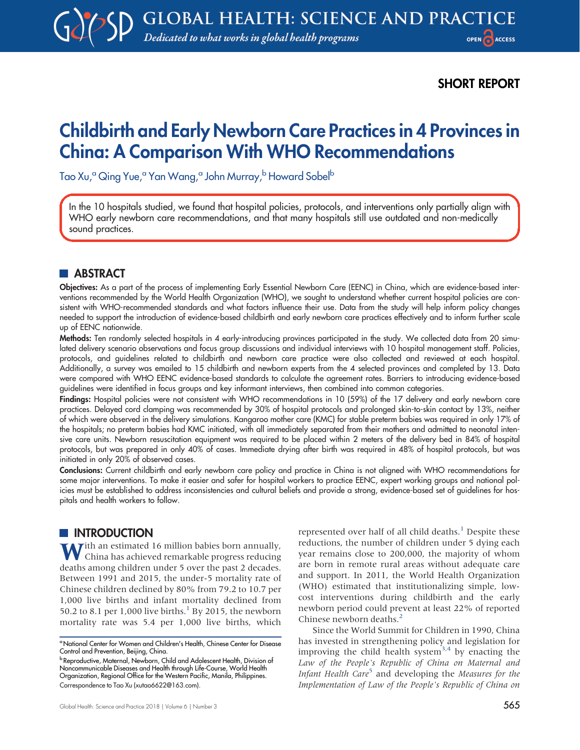SHORT REPORT

# Childbirth and Early Newborn Care Practices in 4 Provinces in China: A Comparison With WHO Recommendations

Tao Xu,<sup>a</sup> Qing Yue,<sup>a</sup> Yan Wang,<sup>a</sup> John Murray,<sup>b</sup> Howard Sobel<sup>b</sup>

In the 10 hospitals studied, we found that hospital policies, protocols, and interventions only partially align with WHO early newborn care recommendations, and that many hospitals still use outdated and non-medically sound practices.

# **ABSTRACT**

Objectives: As a part of the process of implementing Early Essential Newborn Care (EENC) in China, which are evidence-based interventions recommended by the World Health Organization (WHO), we sought to understand whether current hospital policies are consistent with WHO-recommended standards and what factors influence their use. Data from the study will help inform policy changes needed to support the introduction of evidence-based childbirth and early newborn care practices effectively and to inform further scale up of EENC nationwide.

Methods: Ten randomly selected hospitals in 4 early-introducing provinces participated in the study. We collected data from 20 simulated delivery scenario observations and focus group discussions and individual interviews with 10 hospital management staff. Policies, protocols, and guidelines related to childbirth and newborn care practice were also collected and reviewed at each hospital. Additionally, a survey was emailed to 15 childbirth and newborn experts from the 4 selected provinces and completed by 13. Data were compared with WHO EENC evidence-based standards to calculate the agreement rates. Barriers to introducing evidence-based guidelines were identified in focus groups and key informant interviews, then combined into common categories.

Findings: Hospital policies were not consistent with WHO recommendations in 10 (59%) of the 17 delivery and early newborn care practices. Delayed cord clamping was recommended by 30% of hospital protocols and prolonged skin-to-skin contact by 13%, neither of which were observed in the delivery simulations. Kangaroo mother care (KMC) for stable preterm babies was required in only 17% of the hospitals; no preterm babies had KMC initiated, with all immediately separated from their mothers and admitted to neonatal intensive care units. Newborn resuscitation equipment was required to be placed within 2 meters of the delivery bed in 84% of hospital protocols, but was prepared in only 40% of cases. Immediate drying after birth was required in 48% of hospital protocols, but was initiated in only 20% of observed cases.

Conclusions: Current childbirth and early newborn care policy and practice in China is not aligned with WHO recommendations for some major interventions. To make it easier and safer for hospital workers to practice EENC, expert working groups and national policies must be established to address inconsistencies and cultural beliefs and provide a strong, evidence-based set of guidelines for hospitals and health workers to follow.

# **INTRODUCTION**

With an estimated 16 million babies born annually, China has achieved remarkable progress reducing deaths among children under 5 over the past 2 decades. Between 1991 and 2015, the under-5 mortality rate of Chinese children declined by 80% from 79.2 to 10.7 per 1,000 live births and infant mortality declined from 50.2 to 8.[1](#page-7-0) per 1,000 live births.<sup>1</sup> By 2015, the newborn mortality rate was 5.4 per 1,000 live births, which

represented over half of all child deaths.<sup>[1](#page-7-0)</sup> Despite these reductions, the number of children under 5 dying each year remains close to 200,000, the majority of whom are born in remote rural areas without adequate care and support. In 2011, the World Health Organization (WHO) estimated that institutionalizing simple, lowcost interventions during childbirth and the early newborn period could prevent at least 22% of reported Chinese newborn deaths.<sup>2</sup>

Since the World Summit for Children in 1990, China has invested in strengthening policy and legislation for improving the child health system<sup>[3](#page-8-1)[,4](#page-8-2)</sup> by enacting the Law of the People's Republic of China on Maternal and Infant Health Care<sup>[5](#page-8-3)</sup> and developing the Measures for the Implementation of Law of the People's Republic of China on

aNational Center for Women and Children's Health, Chinese Center for Disease Control and Prevention, Beijing, China.

<sup>&</sup>lt;sup>b</sup> Reproductive, Maternal, Newborn, Child and Adolescent Health, Division of<br>Noncommunicable Diseases and Health through Life-Course, World Health Organization, Regional Office for the Western Pacific, Manila, Philippines. Correspondence to Tao Xu [\(xutao6622@163.com\)](mailto:xutao6622@163.com).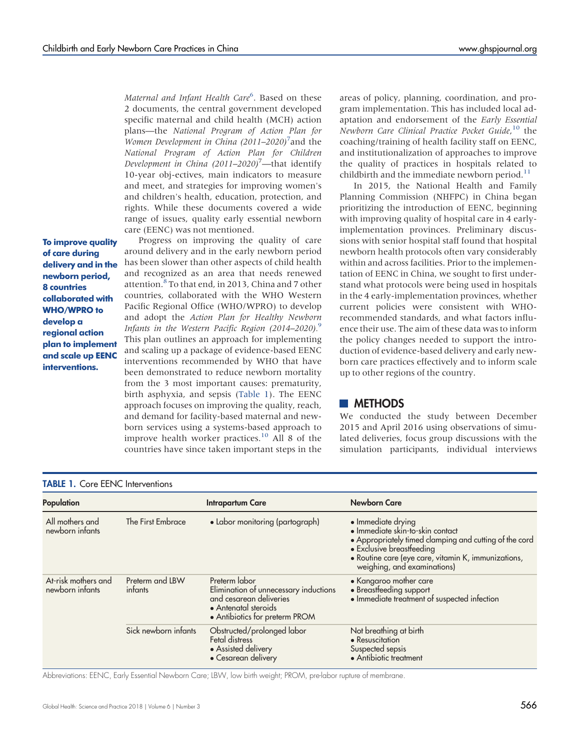Maternal and Infant Health Care<sup>[6](#page-8-4)</sup>. Based on these 2 documents, the central government developed specific maternal and child health (MCH) action plans—the National Program of Action Plan for Women Development in China (2011–2020)<sup>[7](#page-8-5)</sup> and the National Program of Action Plan for Children Development in China  $(2011-2020)^7$ —that identify 10-year obj-ectives, main indicators to measure and meet, and strategies for improving women's and children's health, education, protection, and rights. While these documents covered a wide range of issues, quality early essential newborn care (EENC) was not mentioned.

To improve quality of care during delivery and in the newborn period, 8 countries collaborated with WHO/WPRO to develop a regional action plan to implement and scale up EENC interventions.

Progress on improving the quality of care around delivery and in the early newborn period has been slower than other aspects of child health and recognized as an area that needs renewed attention.<sup>[8](#page-8-6)</sup> To that end, in 2013, China and 7 other countries, collaborated with the WHO Western Pacific Regional Office (WHO/WPRO) to develop and adopt the Action Plan for Healthy Newborn Infants in the Western Pacific Region (2014–2020).<sup>[9](#page-8-7)</sup> This plan outlines an approach for implementing and scaling up a package of evidence-based EENC interventions recommended by WHO that have been demonstrated to reduce newborn mortality from the 3 most important causes: prematurity, birth asphyxia, and sepsis [\(Table 1](#page-1-0)). The EENC approach focuses on improving the quality, reach, and demand for facility-based maternal and newborn services using a systems-based approach to improve health worker practices. $^{10}$  $^{10}$  $^{10}$  All 8 of the countries have since taken important steps in the

areas of policy, planning, coordination, and program implementation. This has included local adaptation and endorsement of the Early Essential Newborn Care Clinical Practice Pocket Guide, [10](#page-8-8) the coaching/training of health facility staff on EENC, and institutionalization of approaches to improve the quality of practices in hospitals related to childbirth and the immediate newborn period. $11$ 

In 2015, the National Health and Family Planning Commission (NHFPC) in China began prioritizing the introduction of EENC, beginning with improving quality of hospital care in 4 earlyimplementation provinces. Preliminary discussions with senior hospital staff found that hospital newborn health protocols often vary considerably within and across facilities. Prior to the implementation of EENC in China, we sought to first understand what protocols were being used in hospitals in the 4 early-implementation provinces, whether current policies were consistent with WHOrecommended standards, and what factors influence their use. The aim of these data was to inform the policy changes needed to support the introduction of evidence-based delivery and early newborn care practices effectively and to inform scale up to other regions of the country.

#### **METHODS**

We conducted the study between December 2015 and April 2016 using observations of simulated deliveries, focus group discussions with the simulation participants, individual interviews

<span id="page-1-0"></span>

| <b>TABLE 1. Core EENC Interventions</b> |                            |                                                                                                                                             |                                                                                                                                                                                                                                     |  |  |  |  |  |
|-----------------------------------------|----------------------------|---------------------------------------------------------------------------------------------------------------------------------------------|-------------------------------------------------------------------------------------------------------------------------------------------------------------------------------------------------------------------------------------|--|--|--|--|--|
| Population                              |                            | <b>Intrapartum Care</b>                                                                                                                     | <b>Newborn Care</b>                                                                                                                                                                                                                 |  |  |  |  |  |
| All mothers and<br>newborn infants      | The First Embrace          | • Labor monitoring (partograph)                                                                                                             | • Immediate drying<br>· Immediate skin-to-skin contact<br>• Appropriately timed clamping and cutting of the cord<br>• Exclusive breastfeeding<br>· Routine care (eye care, vitamin K, immunizations,<br>weighing, and examinations) |  |  |  |  |  |
| At-risk mothers and<br>newborn infants  | Preterm and LBW<br>infants | Preterm labor<br>Elimination of unnecessary inductions<br>and cesarean deliveries<br>• Antenatal steroids<br>• Antibiotics for preterm PROM | • Kangaroo mother care<br>• Breastfeeding support<br>• Immediate treatment of suspected infection                                                                                                                                   |  |  |  |  |  |
|                                         | Sick newborn infants       | Obstructed/prolonged labor<br>Fetal distress<br>• Assisted delivery<br>• Cesarean delivery                                                  | Not breathing at birth<br>• Resuscitation<br>Suspected sepsis<br>• Antibiotic treatment                                                                                                                                             |  |  |  |  |  |

Abbreviations: EENC, Early Essential Newborn Care; LBW, low birth weight; PROM, pre-labor rupture of membrane.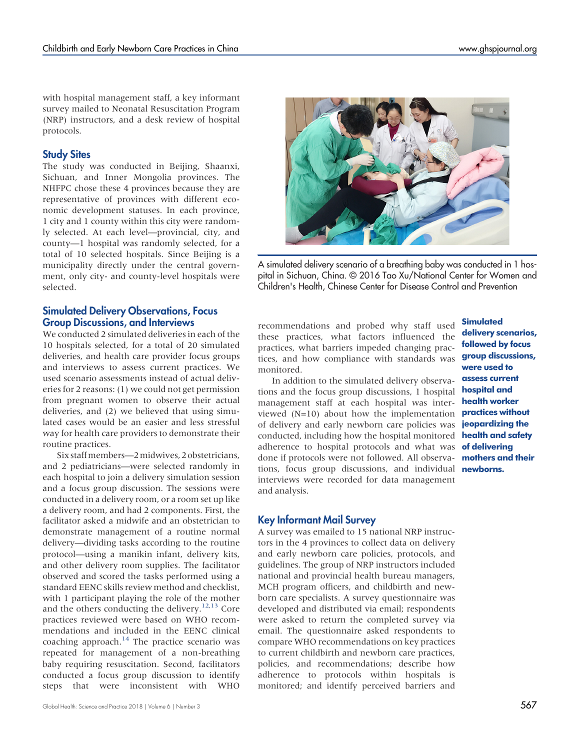with hospital management staff, a key informant survey mailed to Neonatal Resuscitation Program (NRP) instructors, and a desk review of hospital protocols.

## Study Sites

The study was conducted in Beijing, Shaanxi, Sichuan, and Inner Mongolia provinces. The NHFPC chose these 4 provinces because they are representative of provinces with different economic development statuses. In each province, 1 city and 1 county within this city were randomly selected. At each level—provincial, city, and county—1 hospital was randomly selected, for a total of 10 selected hospitals. Since Beijing is a municipality directly under the central government, only city- and county-level hospitals were selected.

### Simulated Delivery Observations, Focus Group Discussions, and Interviews

We conducted 2 simulated deliveries in each of the 10 hospitals selected, for a total of 20 simulated deliveries, and health care provider focus groups and interviews to assess current practices. We used scenario assessments instead of actual deliveries for 2 reasons: (1) we could not get permission from pregnant women to observe their actual deliveries, and (2) we believed that using simulated cases would be an easier and less stressful way for health care providers to demonstrate their routine practices.

Six staffmembers—2midwives, 2 obstetricians, and 2 pediatricians—were selected randomly in each hospital to join a delivery simulation session and a focus group discussion. The sessions were conducted in a delivery room, or a room set up like a delivery room, and had 2 components. First, the facilitator asked a midwife and an obstetrician to demonstrate management of a routine normal delivery—dividing tasks according to the routine protocol—using a manikin infant, delivery kits, and other delivery room supplies. The facilitator observed and scored the tasks performed using a standard EENC skills review method and checklist, with 1 participant playing the role of the mother and the others conducting the delivery.<sup>[12,](#page-8-10)[13](#page-8-11)</sup> Core practices reviewed were based on WHO recommendations and included in the EENC clinical coaching approach.<sup>[14](#page-8-12)</sup> The practice scenario was repeated for management of a non-breathing baby requiring resuscitation. Second, facilitators conducted a focus group discussion to identify steps that were inconsistent with WHO



A simulated delivery scenario of a breathing baby was conducted in 1 hospital in Sichuan, China. © 2016 Tao Xu/National Center for Women and Children's Health, Chinese Center for Disease Control and Prevention

recommendations and probed why staff used these practices, what factors influenced the practices, what barriers impeded changing practices, and how compliance with standards was monitored.

In addition to the simulated delivery observations and the focus group discussions, 1 hospital management staff at each hospital was interviewed (N=10) about how the implementation of delivery and early newborn care policies was conducted, including how the hospital monitored adherence to hospital protocols and what was **of delivering** done if protocols were not followed. All observations, focus group discussions, and individual interviews were recorded for data management and analysis.

# Key Informant Mail Survey

A survey was emailed to 15 national NRP instructors in the 4 provinces to collect data on delivery and early newborn care policies, protocols, and guidelines. The group of NRP instructors included national and provincial health bureau managers, MCH program officers, and childbirth and newborn care specialists. A survey questionnaire was developed and distributed via email; respondents were asked to return the completed survey via email. The questionnaire asked respondents to compare WHO recommendations on key practices to current childbirth and newborn care practices, policies, and recommendations; describe how adherence to protocols within hospitals is monitored; and identify perceived barriers and

**Simulated** delivery scenarios, followed by focus group discussions, were used to assess current hospital and health worker practices without jeopardizing the health and safety mothers and their newborns.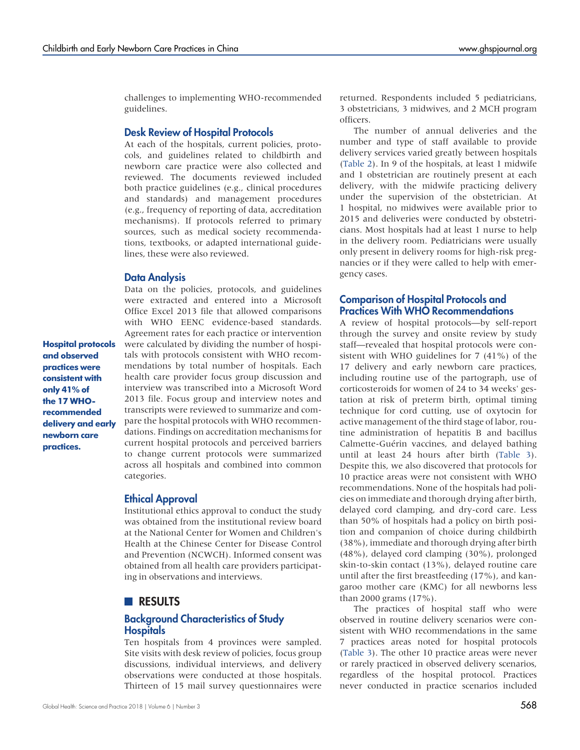challenges to implementing WHO-recommended guidelines.

#### Desk Review of Hospital Protocols

At each of the hospitals, current policies, protocols, and guidelines related to childbirth and newborn care practice were also collected and reviewed. The documents reviewed included both practice guidelines (e.g., clinical procedures and standards) and management procedures (e.g., frequency of reporting of data, accreditation mechanisms). If protocols referred to primary sources, such as medical society recommendations, textbooks, or adapted international guidelines, these were also reviewed.

#### Data Analysis

Hospital protocols and observed practices were consistent with only 41% of the 17 WHOrecommended delivery and early newborn care practices.

Data on the policies, protocols, and guidelines were extracted and entered into a Microsoft Office Excel 2013 file that allowed comparisons with WHO EENC evidence-based standards. Agreement rates for each practice or intervention were calculated by dividing the number of hospitals with protocols consistent with WHO recommendations by total number of hospitals. Each health care provider focus group discussion and interview was transcribed into a Microsoft Word 2013 file. Focus group and interview notes and transcripts were reviewed to summarize and compare the hospital protocols with WHO recommendations. Findings on accreditation mechanisms for current hospital protocols and perceived barriers to change current protocols were summarized across all hospitals and combined into common categories.

#### Ethical Approval

Institutional ethics approval to conduct the study was obtained from the institutional review board at the National Center for Women and Children's Health at the Chinese Center for Disease Control and Prevention (NCWCH). Informed consent was obtained from all health care providers participating in observations and interviews.

#### **RESULTS**

#### Background Characteristics of Study **Hospitals**

Ten hospitals from 4 provinces were sampled. Site visits with desk review of policies, focus group discussions, individual interviews, and delivery observations were conducted at those hospitals. Thirteen of 15 mail survey questionnaires were

returned. Respondents included 5 pediatricians, 3 obstetricians, 3 midwives, and 2 MCH program officers.

The number of annual deliveries and the number and type of staff available to provide delivery services varied greatly between hospitals [\(Table 2\)](#page-4-0). In 9 of the hospitals, at least 1 midwife and 1 obstetrician are routinely present at each delivery, with the midwife practicing delivery under the supervision of the obstetrician. At 1 hospital, no midwives were available prior to 2015 and deliveries were conducted by obstetricians. Most hospitals had at least 1 nurse to help in the delivery room. Pediatricians were usually only present in delivery rooms for high-risk pregnancies or if they were called to help with emergency cases.

#### Comparison of Hospital Protocols and Practices With WHO Recommendations

A review of hospital protocols—by self-report through the survey and onsite review by study staff—revealed that hospital protocols were consistent with WHO guidelines for 7 (41%) of the 17 delivery and early newborn care practices, including routine use of the partograph, use of corticosteroids for women of 24 to 34 weeks' gestation at risk of preterm birth, optimal timing technique for cord cutting, use of oxytocin for active management of the third stage of labor, routine administration of hepatitis B and bacillus Calmette-Guérin vaccines, and delayed bathing until at least 24 hours after birth ([Table 3\)](#page-5-0). Despite this, we also discovered that protocols for 10 practice areas were not consistent with WHO recommendations. None of the hospitals had policies on immediate and thorough drying after birth, delayed cord clamping, and dry-cord care. Less than 50% of hospitals had a policy on birth position and companion of choice during childbirth (38%), immediate and thorough drying after birth (48%), delayed cord clamping (30%), prolonged skin-to-skin contact (13%), delayed routine care until after the first breastfeeding (17%), and kangaroo mother care (KMC) for all newborns less than 2000 grams (17%).

The practices of hospital staff who were observed in routine delivery scenarios were consistent with WHO recommendations in the same 7 practices areas noted for hospital protocols [\(Table 3\)](#page-5-0). The other 10 practice areas were never or rarely practiced in observed delivery scenarios, regardless of the hospital protocol. Practices never conducted in practice scenarios included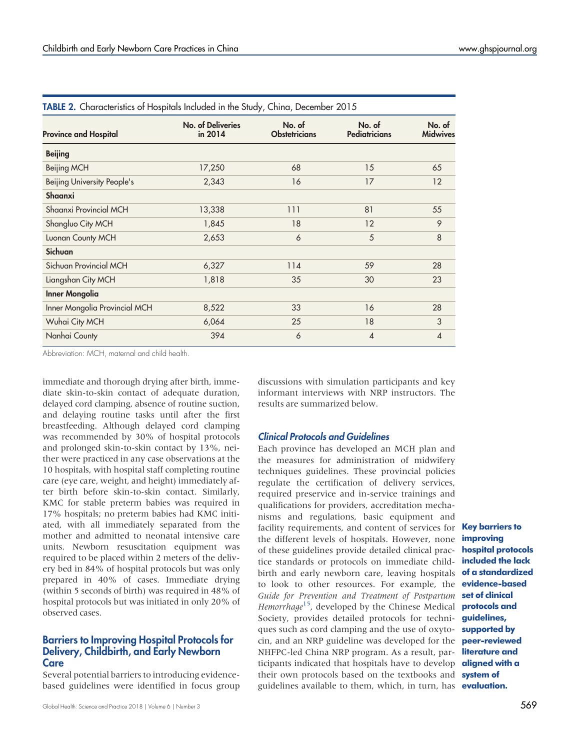| <b>Province and Hospital</b>       | <b>No. of Deliveries</b><br>in 2014 | No. of<br><b>Obstetricians</b> | No. of<br><b>Pediatricians</b> | No. of<br><b>Midwives</b> |  |  |  |  |  |
|------------------------------------|-------------------------------------|--------------------------------|--------------------------------|---------------------------|--|--|--|--|--|
| <b>Beijing</b>                     |                                     |                                |                                |                           |  |  |  |  |  |
| Beijing MCH                        | 17,250                              | 68                             | 15                             | 65                        |  |  |  |  |  |
| <b>Beijing University People's</b> | 2,343                               | 16                             | 17                             | 12                        |  |  |  |  |  |
| Shaanxi                            |                                     |                                |                                |                           |  |  |  |  |  |
| Shaanxi Provincial MCH             | 13,338                              | 111                            | 81                             | 55                        |  |  |  |  |  |
| Shangluo City MCH                  | 1,845                               | 18                             | 12                             | 9                         |  |  |  |  |  |
| Luonan County MCH                  | 2,653                               | 6                              | 5                              | 8                         |  |  |  |  |  |
| Sichuan                            |                                     |                                |                                |                           |  |  |  |  |  |
| Sichuan Provincial MCH             | 6,327                               | 114                            | 59                             | 28                        |  |  |  |  |  |
| Liangshan City MCH                 | 1,818                               | 35                             | 30                             | 23                        |  |  |  |  |  |
| <b>Inner Mongolia</b>              |                                     |                                |                                |                           |  |  |  |  |  |
| Inner Mongolia Provincial MCH      | 8,522                               | 33                             | 16                             | 28                        |  |  |  |  |  |
| Wuhai City MCH                     | 6,064                               | 25                             | 18                             | 3                         |  |  |  |  |  |
| Nanhai County                      | 394                                 | 6                              | 4                              | 4                         |  |  |  |  |  |

<span id="page-4-0"></span>TABLE 2. Characteristics of Hospitals Included in the Study, China, December 2015

Abbreviation: MCH, maternal and child health.

immediate and thorough drying after birth, immediate skin-to-skin contact of adequate duration, delayed cord clamping, absence of routine suction, and delaying routine tasks until after the first breastfeeding. Although delayed cord clamping was recommended by 30% of hospital protocols and prolonged skin-to-skin contact by 13%, neither were practiced in any case observations at the 10 hospitals, with hospital staff completing routine care (eye care, weight, and height) immediately after birth before skin-to-skin contact. Similarly, KMC for stable preterm babies was required in 17% hospitals; no preterm babies had KMC initiated, with all immediately separated from the mother and admitted to neonatal intensive care units. Newborn resuscitation equipment was required to be placed within 2 meters of the delivery bed in 84% of hospital protocols but was only prepared in 40% of cases. Immediate drying (within 5 seconds of birth) was required in 48% of hospital protocols but was initiated in only 20% of observed cases.

#### Barriers to Improving Hospital Protocols for Delivery, Childbirth, and Early Newborn **Care**

Several potential barriers to introducing evidencebased guidelines were identified in focus group discussions with simulation participants and key informant interviews with NRP instructors. The results are summarized below.

#### Clinical Protocols and Guidelines

Each province has developed an MCH plan and the measures for administration of midwifery techniques guidelines. These provincial policies regulate the certification of delivery services, required preservice and in-service trainings and qualifications for providers, accreditation mechanisms and regulations, basic equipment and facility requirements, and content of services for **Key barriers to** the different levels of hospitals. However, none of these guidelines provide detailed clinical practice standards or protocols on immediate childbirth and early newborn care, leaving hospitals **of a standardized** to look to other resources. For example, the evidence-based Guide for Prevention and Treatment of Postpartum Hemorrhage<sup>15</sup>, developed by the Chinese Medical Society, provides detailed protocols for techniques such as cord clamping and the use of oxytocin, and an NRP guideline was developed for the **peer-reviewed** NHFPC-led China NRP program. As a result, par- literature and ticipants indicated that hospitals have to develop **aligned with a** their own protocols based on the textbooks and system of guidelines available to them, which, in turn, has evaluation.

improving hospital protocols included the lack set of clinical protocols and guidelines, supported by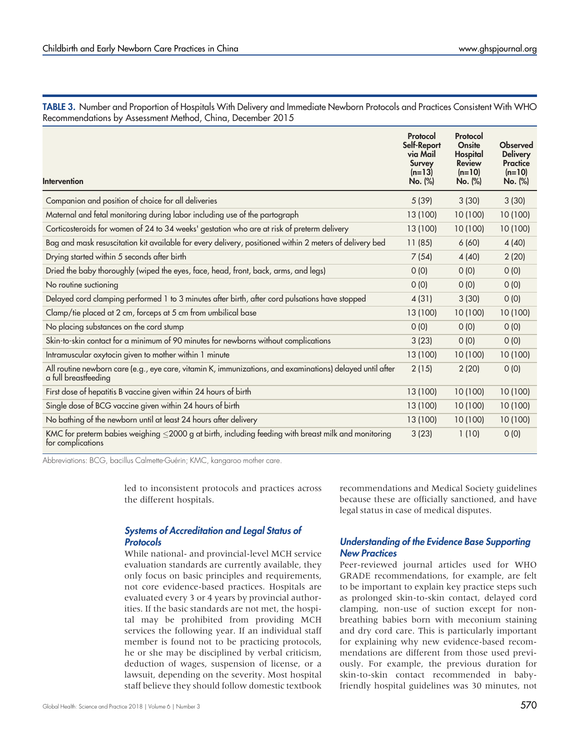<span id="page-5-0"></span>TABLE 3. Number and Proportion of Hospitals With Delivery and Immediate Newborn Protocols and Practices Consistent With WHO Recommendations by Assessment Method, China, December 2015

| Intervention                                                                                                                      | Protocol<br>Self-Report<br>via Mail<br><b>Survey</b><br>$(n=13)$<br>No. (%) | Protocol<br>Onsite<br>Hospital<br><b>Review</b><br>$(n=10)$<br>No. (%) | <b>Observed</b><br><b>Delivery</b><br><b>Practice</b><br>$(n=10)$<br>No. (%) |
|-----------------------------------------------------------------------------------------------------------------------------------|-----------------------------------------------------------------------------|------------------------------------------------------------------------|------------------------------------------------------------------------------|
| Companion and position of choice for all deliveries                                                                               | 5(39)                                                                       | 3(30)                                                                  | 3(30)                                                                        |
| Maternal and fetal monitoring during labor including use of the partograph                                                        | 13 (100)                                                                    | 10 (100)                                                               | 10 (100)                                                                     |
| Corticosteroids for women of 24 to 34 weeks' gestation who are at risk of preterm delivery                                        | 13 (100)                                                                    | 10 (100)                                                               | 10 (100)                                                                     |
| Bag and mask resuscitation kit available for every delivery, positioned within 2 meters of delivery bed                           | 11(85)                                                                      | 6(60)                                                                  | 4(40)                                                                        |
| Drying started within 5 seconds after birth                                                                                       | 7(54)                                                                       | 4(40)                                                                  | 2(20)                                                                        |
| Dried the baby thoroughly (wiped the eyes, face, head, front, back, arms, and legs)                                               | 0(0)                                                                        | 0(0)                                                                   | 0(0)                                                                         |
| No routine suctioning                                                                                                             | O(0)                                                                        | O(0)                                                                   | O(0)                                                                         |
| Delayed cord clamping performed 1 to 3 minutes after birth, after cord pulsations have stopped                                    | 4(31)                                                                       | 3(30)                                                                  | 0(0)                                                                         |
| Clamp/tie placed at 2 cm, forceps at 5 cm from umbilical base                                                                     | 13 (100)                                                                    | 10 (100)                                                               | 10 (100)                                                                     |
| No placing substances on the cord stump                                                                                           | O(0)                                                                        | O(0)                                                                   | O(0)                                                                         |
| Skin-to-skin contact for a minimum of 90 minutes for newborns without complications                                               | 3(23)                                                                       | 0(0)                                                                   | 0(0)                                                                         |
| Intramuscular oxytocin given to mother within 1 minute                                                                            | 13 (100)                                                                    | 10 (100)                                                               | 10 (100)                                                                     |
| All routine newborn care (e.g., eye care, vitamin K, immunizations, and examinations) delayed until after<br>a full breastfeeding | 2(15)                                                                       | 2(20)                                                                  | 0(0)                                                                         |
| First dose of hepatitis B vaccine given within 24 hours of birth                                                                  | 13 (100)                                                                    | 10(100)                                                                | 10 (100)                                                                     |
| Single dose of BCG vaccine given within 24 hours of birth                                                                         | 13 (100)                                                                    | 10 (100)                                                               | 10 (100)                                                                     |
| No bathing of the newborn until at least 24 hours after delivery                                                                  | 13 (100)                                                                    | 10 (100)                                                               | 10 (100)                                                                     |
| KMC for preterm babies weighing $\leq$ 2000 g at birth, including feeding with breast milk and monitoring<br>for complications    | 3(23)                                                                       | 1(10)                                                                  | O(0)                                                                         |

Abbreviations: BCG, bacillus Calmette-Guérin; KMC, kangaroo mother care.

led to inconsistent protocols and practices across the different hospitals.

#### Systems of Accreditation and Legal Status of **Protocols**

While national- and provincial-level MCH service evaluation standards are currently available, they only focus on basic principles and requirements, not core evidence-based practices. Hospitals are evaluated every 3 or 4 years by provincial authorities. If the basic standards are not met, the hospital may be prohibited from providing MCH services the following year. If an individual staff member is found not to be practicing protocols, he or she may be disciplined by verbal criticism, deduction of wages, suspension of license, or a lawsuit, depending on the severity. Most hospital staff believe they should follow domestic textbook

recommendations and Medical Society guidelines because these are officially sanctioned, and have legal status in case of medical disputes.

#### Understanding of the Evidence Base Supporting New Practices

Peer-reviewed journal articles used for WHO GRADE recommendations, for example, are felt to be important to explain key practice steps such as prolonged skin-to-skin contact, delayed cord clamping, non-use of suction except for nonbreathing babies born with meconium staining and dry cord care. This is particularly important for explaining why new evidence-based recommendations are different from those used previously. For example, the previous duration for skin-to-skin contact recommended in babyfriendly hospital guidelines was 30 minutes, not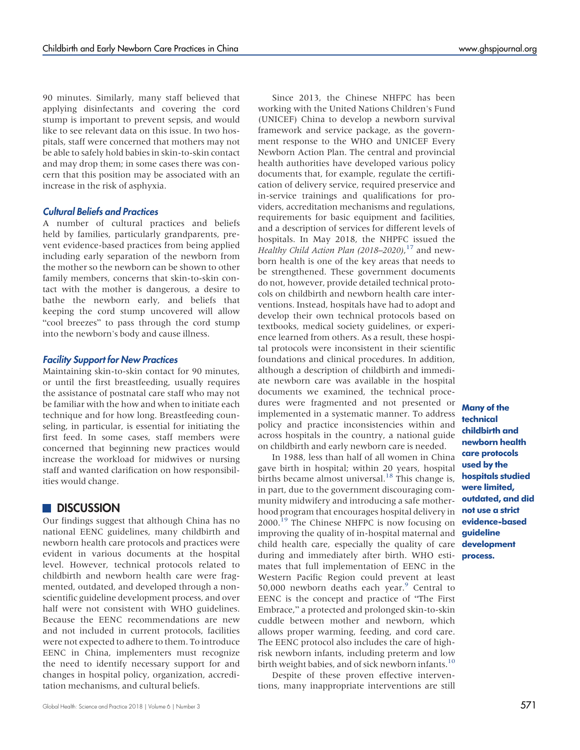90 minutes. Similarly, many staff believed that applying disinfectants and covering the cord stump is important to prevent sepsis, and would like to see relevant data on this issue. In two hospitals, staff were concerned that mothers may not be able to safely hold babies in skin-to-skin contact and may drop them; in some cases there was concern that this position may be associated with an increase in the risk of asphyxia.

#### Cultural Beliefs and Practices

A number of cultural practices and beliefs held by families, particularly grandparents, prevent evidence-based practices from being applied including early separation of the newborn from the mother so the newborn can be shown to other family members, concerns that skin-to-skin contact with the mother is dangerous, a desire to bathe the newborn early, and beliefs that keeping the cord stump uncovered will allow "cool breezes" to pass through the cord stump into the newborn's body and cause illness.

#### Facility Support for New Practices

Maintaining skin-to-skin contact for 90 minutes, or until the first breastfeeding, usually requires the assistance of postnatal care staff who may not be familiar with the how and when to initiate each technique and for how long. Breastfeeding counseling, in particular, is essential for initiating the first feed. In some cases, staff members were concerned that beginning new practices would increase the workload for midwives or nursing staff and wanted clarification on how responsibilities would change.

#### **DISCUSSION**

Our findings suggest that although China has no national EENC guidelines, many childbirth and newborn health care protocols and practices were evident in various documents at the hospital level. However, technical protocols related to childbirth and newborn health care were fragmented, outdated, and developed through a nonscientific guideline development process, and over half were not consistent with WHO guidelines. Because the EENC recommendations are new and not included in current protocols, facilities were not expected to adhere to them. To introduce EENC in China, implementers must recognize the need to identify necessary support for and changes in hospital policy, organization, accreditation mechanisms, and cultural beliefs.

Since 2013, the Chinese NHFPC has been working with the United Nations Children's Fund (UNICEF) China to develop a newborn survival framework and service package, as the government response to the WHO and UNICEF Every Newborn Action Plan. The central and provincial health authorities have developed various policy documents that, for example, regulate the certification of delivery service, required preservice and in-service trainings and qualifications for providers, accreditation mechanisms and regulations, requirements for basic equipment and facilities, and a description of services for different levels of hospitals. In May 2018, the NHPFC issued the Healthy Child Action Plan (2018-2020),<sup>[17](#page-8-14)</sup> and newborn health is one of the key areas that needs to be strengthened. These government documents do not, however, provide detailed technical protocols on childbirth and newborn health care interventions. Instead, hospitals have had to adopt and develop their own technical protocols based on textbooks, medical society guidelines, or experience learned from others. As a result, these hospital protocols were inconsistent in their scientific foundations and clinical procedures. In addition, although a description of childbirth and immediate newborn care was available in the hospital documents we examined, the technical procedures were fragmented and not presented or implemented in a systematic manner. To address policy and practice inconsistencies within and across hospitals in the country, a national guide on childbirth and early newborn care is needed.

In 1988, less than half of all women in China gave birth in hospital; within 20 years, hospital births became almost universal.<sup>[18](#page-8-15)</sup> This change is, in part, due to the government discouraging community midwifery and introducing a safe motherhood program that encourages hospital delivery in **not use a strict** 2000.<sup>19</sup> The Chinese NHFPC is now focusing on evidence-based improving the quality of in-hospital maternal and child health care, especially the quality of care during and immediately after birth. WHO estimates that full implementation of EENC in the Western Pacific Region could prevent at least 50,000 newborn deaths each year. $9$  Central to EENC is the concept and practice of "The First Embrace," a protected and prolonged skin-to-skin cuddle between mother and newborn, which allows proper warming, feeding, and cord care. The EENC protocol also includes the care of highrisk newborn infants, including preterm and low birth weight babies, and of sick newborn infants.<sup>[10](#page-8-8)</sup>

Despite of these proven effective interventions, many inappropriate interventions are still

Many of the technical childbirth and newborn health care protocols used by the hospitals studied were limited, outdated, and did guideline development process.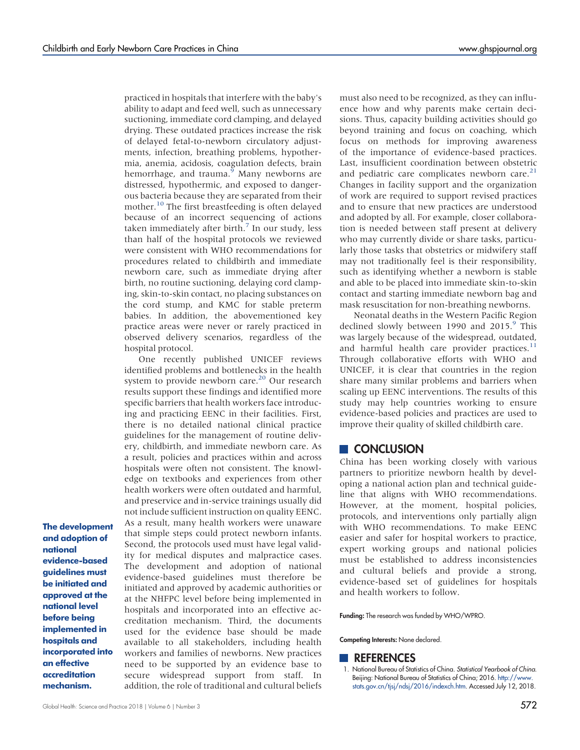practiced in hospitals that interfere with the baby's ability to adapt and feed well, such as unnecessary suctioning, immediate cord clamping, and delayed drying. These outdated practices increase the risk of delayed fetal-to-newborn circulatory adjustments, infection, breathing problems, hypothermia, anemia, acidosis, coagulation defects, brain hemorrhage, and trauma.<sup>9</sup> Many newborns are distressed, hypothermic, and exposed to dangerous bacteria because they are separated from their mother.<sup>[10](#page-8-8)</sup> The first breastfeeding is often delayed because of an incorrect sequencing of actions taken immediately after birth. $7$  In our study, less than half of the hospital protocols we reviewed were consistent with WHO recommendations for procedures related to childbirth and immediate newborn care, such as immediate drying after birth, no routine suctioning, delaying cord clamping, skin-to-skin contact, no placing substances on the cord stump, and KMC for stable preterm babies. In addition, the abovementioned key practice areas were never or rarely practiced in observed delivery scenarios, regardless of the hospital protocol.

One recently published UNICEF reviews identified problems and bottlenecks in the health system to provide newborn care.<sup>[20](#page-8-17)</sup> Our research results support these findings and identified more specific barriers that health workers face introducing and practicing EENC in their facilities. First, there is no detailed national clinical practice guidelines for the management of routine delivery, childbirth, and immediate newborn care. As a result, policies and practices within and across hospitals were often not consistent. The knowledge on textbooks and experiences from other health workers were often outdated and harmful, and preservice and in-service trainings usually did not include sufficient instruction on quality EENC. As a result, many health workers were unaware that simple steps could protect newborn infants. Second, the protocols used must have legal validity for medical disputes and malpractice cases. The development and adoption of national evidence-based guidelines must therefore be initiated and approved by academic authorities or at the NHFPC level before being implemented in hospitals and incorporated into an effective accreditation mechanism. Third, the documents used for the evidence base should be made available to all stakeholders, including health workers and families of newborns. New practices need to be supported by an evidence base to secure widespread support from staff. In addition, the role of traditional and cultural beliefs

The development and adoption of national evidence-based guidelines must be initiated and approved at the national level before being implemented in hospitals and incorporated into an effective accreditation mechanism.

Funding: The research was funded by WHO/WPRO.

Competing Interests: None declared.

#### **REFERENCES**

<span id="page-7-0"></span>1. National Bureau of Statistics of China. Statistical Yearbook of China. Beijing: National Bureau of Statistics of China; 2016. [http://www.](http://www.stats.gov.cn/tjsj/ndsj/2016/indexch.htm) [stats.gov.cn/tjsj/ndsj/2016/indexch.htm.](http://www.stats.gov.cn/tjsj/ndsj/2016/indexch.htm) Accessed July 12, 2018.

must also need to be recognized, as they can influence how and why parents make certain decisions. Thus, capacity building activities should go beyond training and focus on coaching, which focus on methods for improving awareness of the importance of evidence-based practices. Last, insufficient coordination between obstetric and pediatric care complicates newborn care.<sup>[21](#page-8-18)</sup> Changes in facility support and the organization of work are required to support revised practices and to ensure that new practices are understood and adopted by all. For example, closer collaboration is needed between staff present at delivery who may currently divide or share tasks, particularly those tasks that obstetrics or midwifery staff may not traditionally feel is their responsibility, such as identifying whether a newborn is stable and able to be placed into immediate skin-to-skin contact and starting immediate newborn bag and mask resuscitation for non-breathing newborns.

Neonatal deaths in the Western Pacific Region declined slowly between 1990 and 2015.<sup>9</sup> This was largely because of the widespread, outdated, and harmful health care provider practices. $^{11}$  $^{11}$  $^{11}$ Through collaborative efforts with WHO and UNICEF, it is clear that countries in the region share many similar problems and barriers when scaling up EENC interventions. The results of this study may help countries working to ensure evidence-based policies and practices are used to improve their quality of skilled childbirth care.

#### **CONCLUSION**

China has been working closely with various partners to prioritize newborn health by developing a national action plan and technical guideline that aligns with WHO recommendations. However, at the moment, hospital policies, protocols, and interventions only partially align with WHO recommendations. To make EENC easier and safer for hospital workers to practice, expert working groups and national policies must be established to address inconsistencies and cultural beliefs and provide a strong, evidence-based set of guidelines for hospitals and health workers to follow.